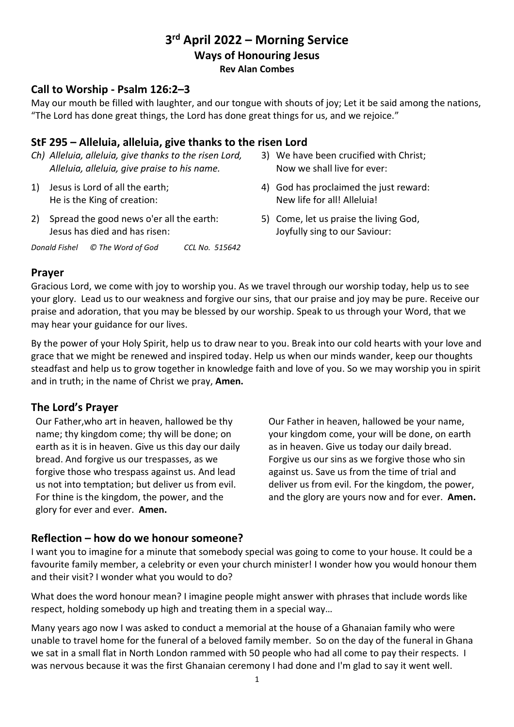## **3 rd April 2022 – Morning Service Ways of Honouring Jesus Rev Alan Combes**

### **Call to Worship - Psalm 126:2–3**

May our mouth be filled with laughter, and our tongue with shouts of joy; Let it be said among the nations, "The Lord has done great things, the Lord has done great things for us, and we rejoice."

### **StF 295 – Alleluia, alleluia, give thanks to the risen Lord**

- *Ch) Alleluia, alleluia, give thanks to the risen Lord, Alleluia, alleluia, give praise to his name.*
- 1) Jesus is Lord of all the earth; He is the King of creation:
- 2) Spread the good news o'er all the earth: Jesus has died and has risen:

*Donald Fishel © The Word of God CCL No. 515642*

- 3) We have been crucified with Christ; Now we shall live for ever:
- 4) God has proclaimed the just reward: New life for all! Alleluia!
- 5) Come, let us praise the living God, Joyfully sing to our Saviour:

#### **Prayer**

Gracious Lord, we come with joy to worship you. As we travel through our worship today, help us to see your glory. Lead us to our weakness and forgive our sins, that our praise and joy may be pure. Receive our praise and adoration, that you may be blessed by our worship. Speak to us through your Word, that we may hear your guidance for our lives.

By the power of your Holy Spirit, help us to draw near to you. Break into our cold hearts with your love and grace that we might be renewed and inspired today. Help us when our minds wander, keep our thoughts steadfast and help us to grow together in knowledge faith and love of you. So we may worship you in spirit and in truth; in the name of Christ we pray, **Amen.**

## **The Lord's Prayer**

Our Father,who art in heaven, hallowed be thy name; thy kingdom come; thy will be done; on earth as it is in heaven. Give us this day our daily bread. And forgive us our trespasses, as we forgive those who trespass against us. And lead us not into temptation; but deliver us from evil. For thine is the kingdom, the power, and the glory for ever and ever. **Amen.**

Our Father in heaven, hallowed be your name, your kingdom come, your will be done, on earth as in heaven. Give us today our daily bread. Forgive us our sins as we forgive those who sin against us. Save us from the time of trial and deliver us from evil. For the kingdom, the power, and the glory are yours now and for ever. **Amen.**

## **Reflection – how do we honour someone?**

I want you to imagine for a minute that somebody special was going to come to your house. It could be a favourite family member, a celebrity or even your church minister! I wonder how you would honour them and their visit? I wonder what you would to do?

What does the word honour mean? I imagine people might answer with phrases that include words like respect, holding somebody up high and treating them in a special way…

Many years ago now I was asked to conduct a memorial at the house of a Ghanaian family who were unable to travel home for the funeral of a beloved family member. So on the day of the funeral in Ghana we sat in a small flat in North London rammed with 50 people who had all come to pay their respects. I was nervous because it was the first Ghanaian ceremony I had done and I'm glad to say it went well.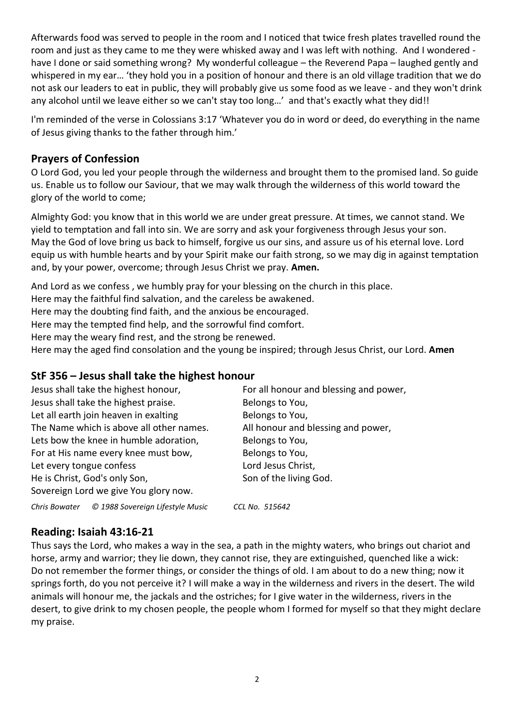Afterwards food was served to people in the room and I noticed that twice fresh plates travelled round the room and just as they came to me they were whisked away and I was left with nothing. And I wondered have I done or said something wrong? My wonderful colleague – the Reverend Papa – laughed gently and whispered in my ear… 'they hold you in a position of honour and there is an old village tradition that we do not ask our leaders to eat in public, they will probably give us some food as we leave - and they won't drink any alcohol until we leave either so we can't stay too long...' and that's exactly what they did!!

I'm reminded of the verse in Colossians 3:17 'Whatever you do in word or deed, do everything in the name of Jesus giving thanks to the father through him.'

### **Prayers of Confession**

O Lord God, you led your people through the wilderness and brought them to the promised land. So guide us. Enable us to follow our Saviour, that we may walk through the wilderness of this world toward the glory of the world to come;

Almighty God: you know that in this world we are under great pressure. At times, we cannot stand. We yield to temptation and fall into sin. We are sorry and ask your forgiveness through Jesus your son. May the God of love bring us back to himself, forgive us our sins, and assure us of his eternal love. Lord equip us with humble hearts and by your Spirit make our faith strong, so we may dig in against temptation and, by your power, overcome; through Jesus Christ we pray. **Amen.**

And Lord as we confess , we humbly pray for your blessing on the church in this place.

Here may the faithful find salvation, and the careless be awakened.

Here may the doubting find faith, and the anxious be encouraged.

Here may the tempted find help, and the sorrowful find comfort.

Here may the weary find rest, and the strong be renewed.

Here may the aged find consolation and the young be inspired; through Jesus Christ, our Lord. **Amen**

#### **StF 356 – Jesus shall take the highest honour**

| Jesus shall take the highest honour,     |                                       | For all honour and blessing and power, |
|------------------------------------------|---------------------------------------|----------------------------------------|
| Jesus shall take the highest praise.     |                                       | Belongs to You,                        |
| Let all earth join heaven in exalting    |                                       | Belongs to You,                        |
| The Name which is above all other names. |                                       | All honour and blessing and power,     |
| Lets bow the knee in humble adoration,   |                                       | Belongs to You,                        |
| For at His name every knee must bow,     |                                       | Belongs to You,                        |
| Let every tongue confess                 |                                       | Lord Jesus Christ,                     |
| He is Christ, God's only Son,            |                                       | Son of the living God.                 |
|                                          | Sovereign Lord we give You glory now. |                                        |
| Chris Bowater                            | © 1988 Sovereign Lifestyle Music      | CCL No. 515642                         |

#### **Reading: Isaiah 43:16-21**

Thus says the Lord, who makes a way in the sea, a path in the mighty waters, who brings out chariot and horse, army and warrior; they lie down, they cannot rise, they are extinguished, quenched like a wick: Do not remember the former things, or consider the things of old. I am about to do a new thing; now it springs forth, do you not perceive it? I will make a way in the wilderness and rivers in the desert. The wild animals will honour me, the jackals and the ostriches; for I give water in the wilderness, rivers in the desert, to give drink to my chosen people, the people whom I formed for myself so that they might declare my praise.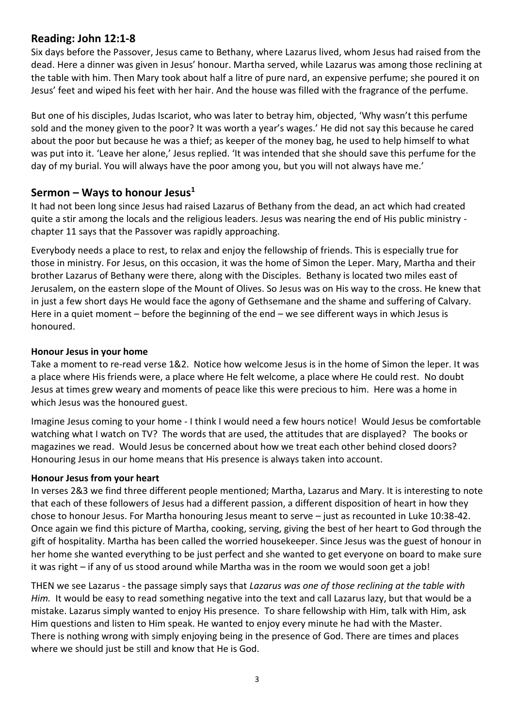#### **Reading: John 12:1-8**

Six days before the Passover, Jesus came to Bethany, where Lazarus lived, whom Jesus had raised from the dead. Here a dinner was given in Jesus' honour. Martha served, while Lazarus was among those reclining at the table with him. Then Mary took about half a litre of pure nard, an expensive perfume; she poured it on Jesus' feet and wiped his feet with her hair. And the house was filled with the fragrance of the perfume.

But one of his disciples, Judas Iscariot, who was later to betray him, objected, 'Why wasn't this perfume sold and the money given to the poor? It was worth a year's wages.' He did not say this because he cared about the poor but because he was a thief; as keeper of the money bag, he used to help himself to what was put into it. 'Leave her alone,' Jesus replied. 'It was intended that she should save this perfume for the day of my burial. You will always have the poor among you, but you will not always have me.'

### **Sermon – Ways to honour Jesus<sup>1</sup>**

It had not been long since Jesus had raised Lazarus of Bethany from the dead, an act which had created quite a stir among the locals and the religious leaders. Jesus was nearing the end of His public ministry chapter 11 says that the Passover was rapidly approaching.

Everybody needs a place to rest, to relax and enjoy the fellowship of friends. This is especially true for those in ministry. For Jesus, on this occasion, it was the home of Simon the Leper. Mary, Martha and their brother Lazarus of Bethany were there, along with the Disciples. Bethany is located two miles east of Jerusalem, on the eastern slope of the Mount of Olives. So Jesus was on His way to the cross. He knew that in just a few short days He would face the agony of Gethsemane and the shame and suffering of Calvary. Here in a quiet moment – before the beginning of the end – we see different ways in which Jesus is honoured.

#### **Honour Jesus in your home**

Take a moment to re-read verse 1&2. Notice how welcome Jesus is in the home of Simon the leper. It was a place where His friends were, a place where He felt welcome, a place where He could rest. No doubt Jesus at times grew weary and moments of peace like this were precious to him. Here was a home in which Jesus was the honoured guest.

Imagine Jesus coming to your home - I think I would need a few hours notice! Would Jesus be comfortable watching what I watch on TV? The words that are used, the attitudes that are displayed? The books or magazines we read. Would Jesus be concerned about how we treat each other behind closed doors? Honouring Jesus in our home means that His presence is always taken into account.

#### **Honour Jesus from your heart**

In verses 2&3 we find three different people mentioned; Martha, Lazarus and Mary. It is interesting to note that each of these followers of Jesus had a different passion, a different disposition of heart in how they chose to honour Jesus. For Martha honouring Jesus meant to serve – just as recounted in Luke 10:38-42. Once again we find this picture of Martha, cooking, serving, giving the best of her heart to God through the gift of hospitality. Martha has been called the worried housekeeper. Since Jesus was the guest of honour in her home she wanted everything to be just perfect and she wanted to get everyone on board to make sure it was right – if any of us stood around while Martha was in the room we would soon get a job!

THEN we see Lazarus - the passage simply says that *Lazarus was one of those reclining at the table with Him.* It would be easy to read something negative into the text and call Lazarus lazy, but that would be a mistake. Lazarus simply wanted to enjoy His presence. To share fellowship with Him, talk with Him, ask Him questions and listen to Him speak. He wanted to enjoy every minute he had with the Master. There is nothing wrong with simply enjoying being in the presence of God. There are times and places where we should just be still and know that He is God.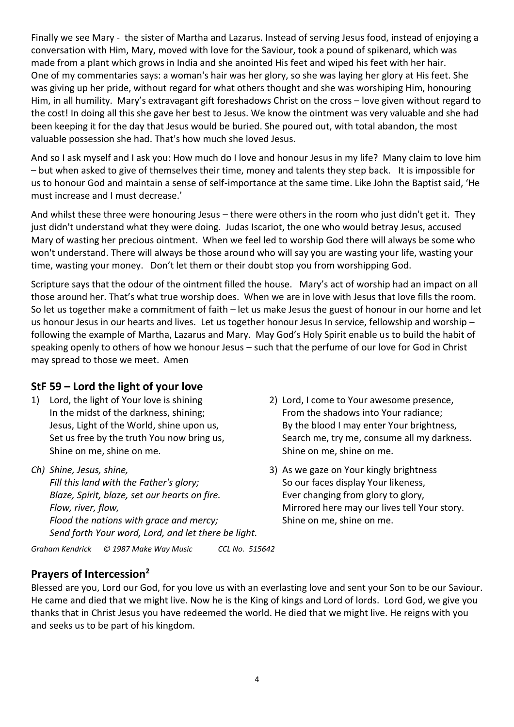Finally we see Mary - the sister of Martha and Lazarus. Instead of serving Jesus food, instead of enjoying a conversation with Him, Mary, moved with love for the Saviour, took a pound of spikenard, which was made from a plant which grows in India and she anointed His feet and wiped his feet with her hair. One of my commentaries says: a woman's hair was her glory, so she was laying her glory at His feet. She was giving up her pride, without regard for what others thought and she was worshiping Him, honouring Him, in all humility. Mary's extravagant gift foreshadows Christ on the cross – love given without regard to the cost! In doing all this she gave her best to Jesus. We know the ointment was very valuable and she had been keeping it for the day that Jesus would be buried. She poured out, with total abandon, the most valuable possession she had. That's how much she loved Jesus.

And so I ask myself and I ask you: How much do I love and honour Jesus in my life? Many claim to love him – but when asked to give of themselves their time, money and talents they step back. It is impossible for us to honour God and maintain a sense of self-importance at the same time. Like John the Baptist said, 'He must increase and I must decrease.'

And whilst these three were honouring Jesus – there were others in the room who just didn't get it. They just didn't understand what they were doing. Judas Iscariot, the one who would betray Jesus, accused Mary of wasting her precious ointment. When we feel led to worship God there will always be some who won't understand. There will always be those around who will say you are wasting your life, wasting your time, wasting your money. Don't let them or their doubt stop you from worshipping God.

Scripture says that the odour of the ointment filled the house. Mary's act of worship had an impact on all those around her. That's what true worship does. When we are in love with Jesus that love fills the room. So let us together make a commitment of faith – let us make Jesus the guest of honour in our home and let us honour Jesus in our hearts and lives. Let us together honour Jesus In service, fellowship and worship – following the example of Martha, Lazarus and Mary. May God's Holy Spirit enable us to build the habit of speaking openly to others of how we honour Jesus – such that the perfume of our love for God in Christ may spread to those we meet. Amen

## **StF 59 – Lord the light of your love**

- 1) Lord, the light of Your love is shining In the midst of the darkness, shining; Jesus, Light of the World, shine upon us, Set us free by the truth You now bring us, Shine on me, shine on me.
- *Ch) Shine, Jesus, shine, Fill this land with the Father's glory; Blaze, Spirit, blaze, set our hearts on fire. Flow, river, flow, Flood the nations with grace and mercy; Send forth Your word, Lord, and let there be light.*

*Graham Kendrick © 1987 Make Way Music CCL No. 515642*

- 2) Lord, I come to Your awesome presence, From the shadows into Your radiance; By the blood I may enter Your brightness, Search me, try me, consume all my darkness. Shine on me, shine on me.
- 3) As we gaze on Your kingly brightness So our faces display Your likeness, Ever changing from glory to glory, Mirrored here may our lives tell Your story. Shine on me, shine on me.

# **Prayers of Intercession<sup>2</sup>**

Blessed are you, Lord our God, for you love us with an everlasting love and sent your Son to be our Saviour. He came and died that we might live. Now he is the King of kings and Lord of lords. Lord God, we give you thanks that in Christ Jesus you have redeemed the world. He died that we might live. He reigns with you and seeks us to be part of his kingdom.